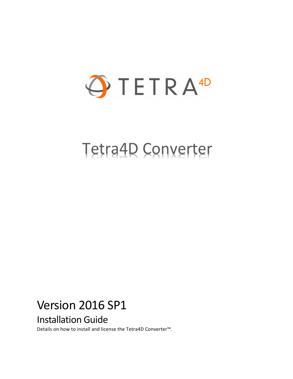

# Tetra4D Converter

# Version 2016 SP1 Installation Guide

Details on how to install and license the Tetra4D Converter™.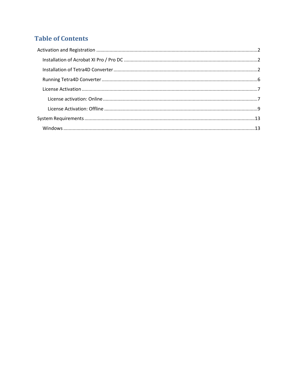## **Table of Contents**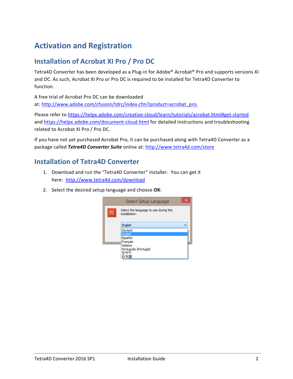# <span id="page-2-0"></span>**Activation and Registration**

#### <span id="page-2-1"></span>**Installation of Acrobat XI Pro / Pro DC**

Tetra4D Converter has been developed as a Plug-in for Adobe® Acrobat® Pro and supports versions XI and DC. As such, Acrobat XI Pro or Pro DC is required to be installed for Tetra4D Converter to function.

A free trial of Acrobat Pro DC can be downloaded at: [http://www.adobe.com/cfusion/tdrc/index.cfm?product=acrobat\\_pro](http://www.adobe.com/cfusion/tdrc/index.cfm?product=acrobat_pro)

Please refer to<https://helpx.adobe.com/creative-cloud/learn/tutorials/acrobat.html#get-started> and<https://helpx.adobe.com/document-cloud.html> for detailed instructions and troubleshooting related to Acrobat XI Pro / Pro DC.

If you have not yet purchased Acrobat Pro, it can be purchased along with Tetra4D Converter as a package called *Tetra4D Converter Suite* online at:<http://www.tetra4d.com/store>

#### <span id="page-2-2"></span>**Installation of Tetra4D Converter**

- 1. Download and run the "Tetra4D Converter" installer. You can get it here: <http://www.tetra4d.com/download>
- 2. Select the desired setup language and choose **OK**:

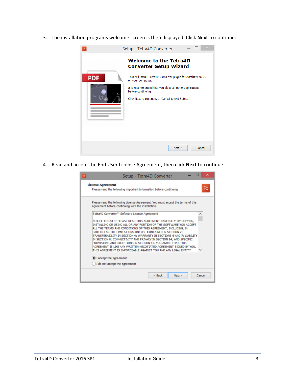3. The installation programs welcome screen is then displayed. Click **Next** to continue:



4. Read and accept the End User License Agreement, then click **Next** to continue:

|                               | Setup - Tetra4D Converter                                                                                                                                                                                                                                                                                                                                                                                                                                                                                                                                                                                                   |          |        | ×      |
|-------------------------------|-----------------------------------------------------------------------------------------------------------------------------------------------------------------------------------------------------------------------------------------------------------------------------------------------------------------------------------------------------------------------------------------------------------------------------------------------------------------------------------------------------------------------------------------------------------------------------------------------------------------------------|----------|--------|--------|
| <b>License Agreement</b>      | Please read the following important information before continuing.                                                                                                                                                                                                                                                                                                                                                                                                                                                                                                                                                          |          |        | Тс     |
|                               | Please read the following License Agreement. You must accept the terms of this<br>agreement before continuing with the installation.                                                                                                                                                                                                                                                                                                                                                                                                                                                                                        |          |        |        |
|                               | Tetra4D Converter™ Software License Agreement                                                                                                                                                                                                                                                                                                                                                                                                                                                                                                                                                                               |          |        |        |
|                               | NOTICE TO USER: PLEASE READ THIS AGREEMENT CAREFULLY. BY COPYING,<br>INSTALLING OR USING ALL OR ANY PORTION OF THE SOFTWARE YOU ACCEPT<br>ALL THE TERMS AND CONDITIONS OF THIS AGREEMENT, INCLUDING, IN<br>PARTICULAR THE LIMITATIONS ON: USE CONTAINED IN SECTION 2;<br>TRANSFERABILITY IN SECTION 4; WARRANTY IN SECTIONS 6 AND 7; LIABILITY<br>IN SECTION 8; CONNECTIVITY AND PRIVACY IN SECTION 14; AND SPECIFIC<br>PROVISIONS AND EXCEPTIONS IN SECTION 15, YOU AGREE THAT THIS<br>AGREEMENT IS LIKE ANY WRITTEN NEGOTIATED AGREEMENT SIGNED BY YOU.<br>THIS AGREEMENT IS ENFORCEABLE AGAINST YOU AND ANY LEGAL ENTITY |          |        |        |
| I accept the agreement        |                                                                                                                                                                                                                                                                                                                                                                                                                                                                                                                                                                                                                             |          |        |        |
| I do not accept the agreement |                                                                                                                                                                                                                                                                                                                                                                                                                                                                                                                                                                                                                             |          |        |        |
|                               |                                                                                                                                                                                                                                                                                                                                                                                                                                                                                                                                                                                                                             | $<$ Back | Next > | Cancel |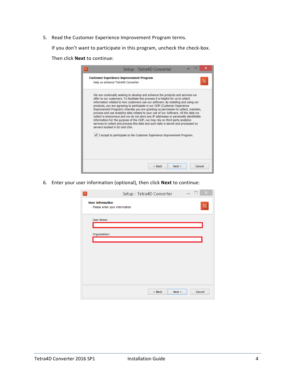5. Read the Customer Experience Improvement Program terms.

If you don't want to participate in this program, uncheck the check-box.

Then click **Next** to continue:

| We are continually seeking to develop and enhance the products and services we                                                                                           |
|--------------------------------------------------------------------------------------------------------------------------------------------------------------------------|
| offer to our customers. To facilitate this process it is helpful for us to collect<br>information related to how customers use our software. By installing and using our |
| products, you are agreeing to participate in our CEIP (Customer Experience<br>Improvement Program) whereby you are granting us permission to collect, maintain,          |
| process and use analytics data related to your use of our Software. All the data we                                                                                      |
| collect is anonymous and we do not store any IP addresses or personally identifiable<br>information. For the purpose of the CEIP, we may rely on third party analytics   |
| services to collect and process this data and such data is stored and processed on                                                                                       |
| servers located in EU and USA.                                                                                                                                           |
|                                                                                                                                                                          |
| √ I accept to participate to the Customer Experience Improvement Program.                                                                                                |
|                                                                                                                                                                          |
|                                                                                                                                                                          |

6. Enter your user information (optional), then click **Next** to continue:

| $\times$<br>Setup - Tetra4D Converter<br>$\mathsf{T}\mathsf{C}$                     |
|-------------------------------------------------------------------------------------|
| <b>User Information</b><br>$\mathsf{T}\mathsf{C}$<br>Please enter your information. |
| User Name:                                                                          |
| Organization:                                                                       |
|                                                                                     |
|                                                                                     |
|                                                                                     |
|                                                                                     |
| Cancel<br>$<$ Back<br>Next                                                          |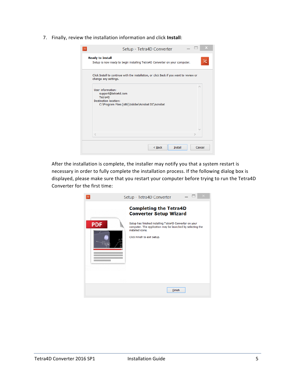7. Finally, review the installation information and click **Install**:

| Setup - Tetra4D Converter                                                                                                              |
|----------------------------------------------------------------------------------------------------------------------------------------|
| <b>Ready to Install</b><br>Tc<br>Setup is now ready to begin installing Tetra4D Converter on your computer.                            |
| Click Install to continue with the installation, or click Back if you want to review or<br>change any settings.                        |
| User information:<br>support@tetra4d.com<br>Tetra4D<br><b>Destination location:</b><br>C:\Program Files (x86)\Adobe\Acrobat DC\Acrobat |
| ₹                                                                                                                                      |
| Cancel<br>$<$ Back<br>Install                                                                                                          |

After the installation is complete, the installer may notify you that a system restart is necessary in order to fully complete the installation process. If the following dialog box is displayed, please make sure that you restart your computer before trying to run the Tetra4D Converter for the first time:

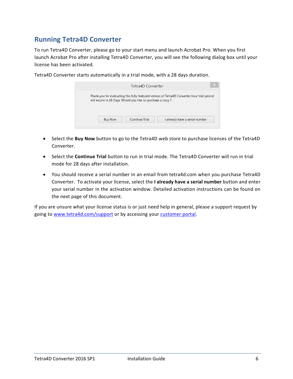### <span id="page-6-0"></span>**Running Tetra4D Converter**

To run Tetra4D Converter, please go to your start menu and launch Acrobat Pro. When you first launch Acrobat Pro after installing Tetra4D Converter, you will see the following dialog box until your license has been activated.

|                                                            | Tetra4D Converter |                                                                                              | × |
|------------------------------------------------------------|-------------------|----------------------------------------------------------------------------------------------|---|
| will expire in 28 Days. Would you like to purchase a copy? |                   | Thank you for evaluating this fully featured version of Tetra4D Converter. Your trial period |   |
| <b>Buy Now</b>                                             | Continue Trial    | I already have a serial number                                                               |   |

Tetra4D Converter starts automatically in a trial mode, with a 28 days duration.

- Select the **Buy Now** button to go to the Tetra4D web store to purchase licenses of the Tetra4D Converter.
- Select the **Continue Trial** button to run in trial mode. The Tetra4D Converter will run in trial mode for 28 days after installation.
- You should receive a serial number in an email from tetra4d.com when you purchase Tetra4D Converter. To activate your license, select the **I already have a serial number** button and enter your serial number in the activation window. Detailed activation instructions can be found on the next page of this document.

If you are unsure what your license status is or just need help in general, please a support request by going to [www.tetra4d.com/support](http://www.tetra4d.com/support) or by accessing your [customer portal.](https://system.netsuite.com/core/media/media.nl?id=1512340&c=1268810&h=7381c1353a387fc86a78&_xt=.html)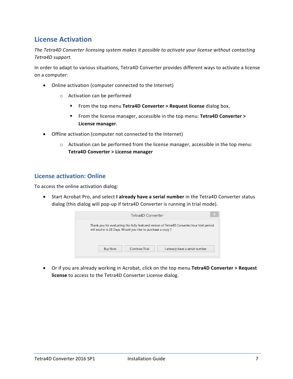#### <span id="page-7-0"></span>**License Activation**

*The Tetra4D Converter licensing system makes it possible to activate your license without contacting Tetra4D support.*

In order to adapt to various situations, Tetra4D Converter provides different ways to activate a license on a computer:

- Online activation (computer connected to the Internet)
	- o Activation can be performed
		- From the top menu **Tetra4D Converter > Request license** dialog box,
		- From the license manager, accessible in the top menu: **Tetra4D Converter > License manager**.
- Offline activation (computer not connected to the Internet)
	- $\circ$  Activation can be performed from the license manager, accessible in the top menu: **Tetra4D Converter > License manager**

#### <span id="page-7-1"></span>**License activation: Online**

To access the online activation dialog:

• Start Acrobat Pro, and select **I already have a serial number** in the Tetra4D Converter status dialog (this dialog will pop-up if tetra4D Converter is running in trial mode).



• Or if you are already working in Acrobat, click on the top menu **Tetra4D Converter > Request license** to access to the Tetra4D Converter License dialog.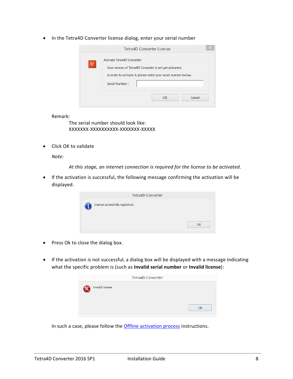• In the Tetra4D Converter license dialog, enter your serial number

|     | <b>Tetra4D Converter License</b>                                                                                                                         |        |
|-----|----------------------------------------------------------------------------------------------------------------------------------------------------------|--------|
| TC. | Activate Tetra4D Converter<br>Your version of Tetra4D Converter is not yet activated.<br>In order to activate it, please enter your serial number below. |        |
|     | Serial Number:                                                                                                                                           |        |
|     | <b>OK</b>                                                                                                                                                | Cancel |

Remark:

The serial number should look like: XXXXXXX-XXXXXXXXXX-XXXXXXX-XXXXX

• Click OK to validate

*Note:*

*At this stage, an internet connection is required for the license to be activated.*

• If the activation is successful, the following message confirming the activation will be displayed.

| <b>Tetra4D Converter</b>         |    |
|----------------------------------|----|
| License successfully registered. |    |
|                                  | OK |

- Press Ok to close the dialog box.
- If the activation is not successful, a dialog box will be displayed with a message indicating what the specific problem is (such as **Invalid serial number** or **Invalid license**):

|                  | <b>Tetra4D Converter</b> |
|------------------|--------------------------|
| Invalid license. |                          |
|                  | OK                       |

In such a case, please follow the **Offline activation process** instructions.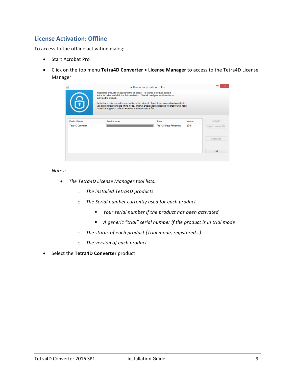#### <span id="page-9-0"></span>**License Activation: Offline**

To access to the offline activation dialog:

- Start Acrobat Pro
- Click on the top menu **Tetra4D Converter > License Manager** to access to the Tetra4D License Manager

|                     | Registered products will appear in the list below. To license a product, select it<br>in the list below and click the Activate button. You will need your serial number to<br>activate the product.<br>Activation requires an active connection to the Internet. If no Internet connection is available,<br>you can activate using the offline mode. This will create a license request file that you will need<br>to send to support in order to receive a license activation file. | Software Registration Utility |         |                     |
|---------------------|--------------------------------------------------------------------------------------------------------------------------------------------------------------------------------------------------------------------------------------------------------------------------------------------------------------------------------------------------------------------------------------------------------------------------------------------------------------------------------------|-------------------------------|---------|---------------------|
| <b>Product Name</b> | Serial Number                                                                                                                                                                                                                                                                                                                                                                                                                                                                        | Status                        | Version | Activate            |
| Tetra4D Converter   |                                                                                                                                                                                                                                                                                                                                                                                                                                                                                      | Trial - 28 Days Remaining     | 2015    | Import License File |
|                     |                                                                                                                                                                                                                                                                                                                                                                                                                                                                                      |                               |         |                     |
|                     |                                                                                                                                                                                                                                                                                                                                                                                                                                                                                      |                               |         | <b>Deactivate</b>   |

#### *Notes:*

- *The Tetra4D License Manager tool lists:*
	- o *The installed Tetra4D products*
	- o *The Serial number currently used for each product*
		- *Your serial number if the product has been activated*
		- *A generic "trial" serial number if the product is in trial mode*
	- o *The status of each product (Trial mode, registered…)*
	- o *The version of each product*
- Select the **Tetra4D Converter** product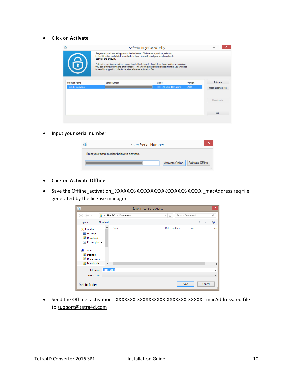• Click on **Activate**

| 6                                               | Registered products will appear in the list below. To license a product, select it<br>in the list below and click the Activate button. You will need your serial number to<br>activate the product.<br>to send to support in order to receive a license activation file. | <b>Software Registration Utility</b><br>Activation requires an active connection to the Internet. If no Internet connection is available,<br>you can activate using the offline mode. This will create a license request file that you will need |                 |                                 |
|-------------------------------------------------|--------------------------------------------------------------------------------------------------------------------------------------------------------------------------------------------------------------------------------------------------------------------------|--------------------------------------------------------------------------------------------------------------------------------------------------------------------------------------------------------------------------------------------------|-----------------|---------------------------------|
| <b>Product Name</b><br><b>Tetra4D Converter</b> | Serial Number                                                                                                                                                                                                                                                            | <b>Status</b><br>Trial - 28 Days Remaining                                                                                                                                                                                                       | Version<br>2015 | Activate<br>Import License File |
|                                                 |                                                                                                                                                                                                                                                                          |                                                                                                                                                                                                                                                  |                 | Deactivate                      |
|                                                 |                                                                                                                                                                                                                                                                          |                                                                                                                                                                                                                                                  |                 | Exit                            |

• Input your serial number

| <b>Enter Serial Number</b>                  |
|---------------------------------------------|
| Enter your serial number below to activate. |
| Activate Online   Activate Offline          |

- Click on **Activate Offline**
- Save the Offline\_activation\_ XXXXXXX-XXXXXXXXXX-XXXXXXX-XXXXX \_macAddress.req file generated by the license manager

| $\blacktriangleright$                                                                                             |                     | Save a license request |                  |        | $\times$            |
|-------------------------------------------------------------------------------------------------------------------|---------------------|------------------------|------------------|--------|---------------------|
| $(\Leftarrow)$<br>$\rightarrow$<br>b.                                                                             | This PC > Downloads | $\ddot{\circ}$<br>v.   | Search Downloads |        | ۹                   |
| Organize $\blacktriangleright$<br>New folder                                                                      |                     |                        |                  | 988 ▼  | $\circ$             |
| <b>X</b> Favorites<br>Desktop<br>Downloads<br>b.<br>Recent places<br>This PC<br>Desktop<br>b.<br><b>Documents</b> | ×<br>Name           | Date modified          | Type             |        | Size                |
| <b>Downloads</b><br>$\vee$ <                                                                                      |                     |                        |                  |        | $\rightarrow$       |
| license.req<br>File name:                                                                                         |                     |                        |                  |        | v                   |
| Save as type:                                                                                                     |                     |                        |                  |        | v                   |
| <b>Hide Folders</b>                                                                                               |                     |                        | Save             | Cancel | $\hat{\mathcal{M}}$ |

• Send the Offline\_activation\_XXXXXXX-XXXXXXXXXXXXXXXXXXXXXXX \_macAddress.req file to [support@tetra4d.com](mailto:support@tetra4d.com)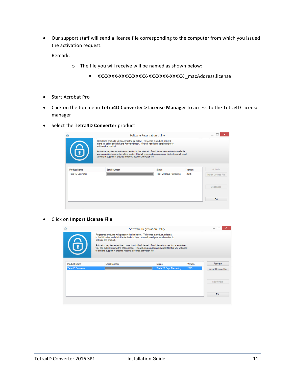• Our support staff will send a license file corresponding to the computer from which you issued the activation request.

Remark:

- o The file you will receive will be named as shown below:
	- XXXXXXX-XXXXXXXXXX-XXXXXXX-XXXXX \_macAddress.license
- Start Acrobat Pro
- Click on the top menu **Tetra4D Converter > License Manager** to access to the Tetra4D License manager
- Select the **Tetra4D Converter** product

| $\Phi$              | <b>Software Registration Utility</b>                                                                                                                                                                                                                                          |                           |         |                     |
|---------------------|-------------------------------------------------------------------------------------------------------------------------------------------------------------------------------------------------------------------------------------------------------------------------------|---------------------------|---------|---------------------|
|                     | Registered products will appear in the list below. To license a product, select it<br>in the list below and click the Activate button. You will need your serial number to<br>activate the product.                                                                           |                           |         |                     |
| 6                   | Activation requires an active connection to the Internet. If no Internet connection is available,<br>you can activate using the offline mode. This will create a license request file that you will need<br>to send to support in order to receive a license activation file. |                           |         |                     |
| <b>Product Name</b> | Serial Number                                                                                                                                                                                                                                                                 | Status                    | Version | Activate            |
| Tetra4D Converter   |                                                                                                                                                                                                                                                                               | Trial - 28 Days Remaining | 2015    |                     |
|                     |                                                                                                                                                                                                                                                                               |                           |         | Import License File |
|                     |                                                                                                                                                                                                                                                                               |                           |         | <b>Deactivate</b>   |

• Click on **Import License File**

| 6                        | Registered products will appear in the list below. To license a product, select it<br>in the list below and click the Activate button. You will need your serial number to<br>activate the product. | <b>Software Registration Utility</b><br>Activation requires an active connection to the Internet. If no Internet connection is available, |         | $\boldsymbol{\mathsf{x}}$ |
|--------------------------|-----------------------------------------------------------------------------------------------------------------------------------------------------------------------------------------------------|-------------------------------------------------------------------------------------------------------------------------------------------|---------|---------------------------|
| <b>Product Name</b>      | to send to support in order to receive a license activation file.<br>Serial Number                                                                                                                  | you can activate using the offline mode. This will create a license request file that you will need<br><b>Status</b>                      | Version | Activate                  |
| <b>Tetra4D Converter</b> |                                                                                                                                                                                                     | Trial - 28 Days Remaining                                                                                                                 | 2015    | Import License File       |
|                          |                                                                                                                                                                                                     |                                                                                                                                           |         | Deactivate                |
|                          |                                                                                                                                                                                                     |                                                                                                                                           |         | Exit                      |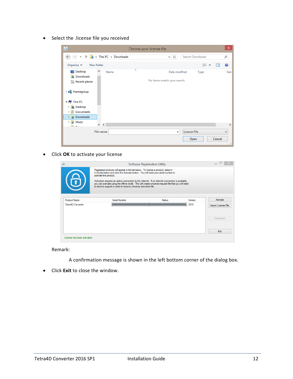• Select the .license file you received



• Click **OK** to activate your license

|                                                 | Registered products will appear in the list below. To license a product, select it<br>in the list below and click the Activate button. You will need your serial number to<br>activate the product.<br>Activation requires an active connection to the Internet. If no Internet connection is available,<br>you can activate using the offline mode. This will create a license request file that you will need<br>to send to support in order to receive a license activation file. | <b>Software Registration Utility</b> |                 |                                 |
|-------------------------------------------------|--------------------------------------------------------------------------------------------------------------------------------------------------------------------------------------------------------------------------------------------------------------------------------------------------------------------------------------------------------------------------------------------------------------------------------------------------------------------------------------|--------------------------------------|-----------------|---------------------------------|
| <b>Product Name</b><br><b>Tetra4D Converter</b> | Serial Number<br>________________________                                                                                                                                                                                                                                                                                                                                                                                                                                            | Status                               | Version<br>2015 | Activate<br>Import License File |
|                                                 |                                                                                                                                                                                                                                                                                                                                                                                                                                                                                      |                                      |                 | Deactivate                      |
|                                                 |                                                                                                                                                                                                                                                                                                                                                                                                                                                                                      |                                      |                 | Exit                            |

Remark:

- A confirmation message is shown in the left bottom corner of the dialog box.
- Click **Exit** to close the window.